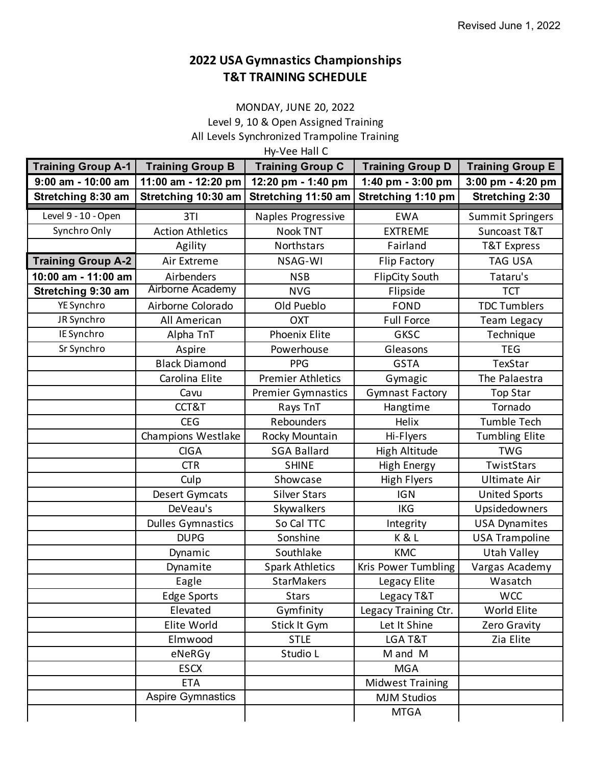## **T&T TRAINING SCHEDULE 2022 USA Gymnastics Championships**

## MONDAY, JUNE 20, 2022 Level 9, 10 & Open Assigned Training All Levels Synchronized Trampoline Training

Hy-Vee Hall C

| <b>Training Group A-1</b> | <b>Training Group B</b>  | <b>Training Group C</b>   | <b>Training Group D</b> | <b>Training Group E</b> |
|---------------------------|--------------------------|---------------------------|-------------------------|-------------------------|
| 9:00 am - 10:00 am        | 11:00 am - 12:20 pm      | 12:20 pm - 1:40 pm        | 1:40 pm - 3:00 pm       | 3:00 pm - 4:20 pm       |
| Stretching 8:30 am        | Stretching 10:30 am      | Stretching 11:50 am       | Stretching 1:10 pm      | <b>Stretching 2:30</b>  |
| Level $9 - 10 -$ Open     | 3TI                      | Naples Progressive        | <b>EWA</b>              | <b>Summit Springers</b> |
| Synchro Only              | <b>Action Athletics</b>  | <b>Nook TNT</b>           | <b>EXTREME</b>          | Suncoast T&T            |
|                           | Agility                  | Northstars                | Fairland                | T&T Express             |
| <b>Training Group A-2</b> | Air Extreme              | NSAG-WI                   | <b>Flip Factory</b>     | <b>TAG USA</b>          |
| 10:00 am - 11:00 am       | Airbenders               | <b>NSB</b>                | <b>FlipCity South</b>   | Tataru's                |
| Stretching 9:30 am        | Airborne Academy         | <b>NVG</b>                | Flipside                | <b>TCT</b>              |
| YE Synchro                | Airborne Colorado        | Old Pueblo                | <b>FOND</b>             | <b>TDC Tumblers</b>     |
| JR Synchro                | All American             | <b>OXT</b>                | <b>Full Force</b>       | <b>Team Legacy</b>      |
| IE Synchro                | Alpha TnT                | <b>Phoenix Elite</b>      | <b>GKSC</b>             | Technique               |
| Sr Synchro                | Aspire                   | Powerhouse                | Gleasons                | <b>TEG</b>              |
|                           | <b>Black Diamond</b>     | <b>PPG</b>                | <b>GSTA</b>             | TexStar                 |
|                           | Carolina Elite           | <b>Premier Athletics</b>  | Gymagic                 | The Palaestra           |
|                           | Cavu                     | <b>Premier Gymnastics</b> | <b>Gymnast Factory</b>  | <b>Top Star</b>         |
|                           | CCT&T                    | Rays TnT                  | Hangtime                | Tornado                 |
|                           | <b>CEG</b>               | Rebounders                | Helix                   | Tumble Tech             |
|                           | Champions Westlake       | Rocky Mountain            | Hi-Flyers               | <b>Tumbling Elite</b>   |
|                           | <b>CIGA</b>              | <b>SGA Ballard</b>        | <b>High Altitude</b>    | <b>TWG</b>              |
|                           | <b>CTR</b>               | <b>SHINE</b>              | <b>High Energy</b>      | TwistStars              |
|                           | Culp                     | Showcase                  | <b>High Flyers</b>      | <b>Ultimate Air</b>     |
|                           | Desert Gymcats           | <b>Silver Stars</b>       | <b>IGN</b>              | <b>United Sports</b>    |
|                           | DeVeau's                 | Skywalkers                | <b>IKG</b>              | Upsidedowners           |
|                           | <b>Dulles Gymnastics</b> | So Cal TTC                | Integrity               | <b>USA Dynamites</b>    |
|                           | <b>DUPG</b>              | Sonshine                  | K&L                     | <b>USA Trampoline</b>   |
|                           | Dynamic                  | Southlake                 | <b>KMC</b>              | <b>Utah Valley</b>      |
|                           | Dynamite                 | <b>Spark Athletics</b>    | Kris Power Tumbling     | Vargas Academy          |
|                           | Eagle                    | StarMakers                | Legacy Elite            | Wasatch                 |
|                           | <b>Edge Sports</b>       | <b>Stars</b>              | Legacy T&T              | <b>WCC</b>              |
|                           | Elevated                 | Gymfinity                 | Legacy Training Ctr.    | World Elite             |
|                           | Elite World              | Stick It Gym              | Let It Shine            | Zero Gravity            |
|                           | Elmwood                  | <b>STLE</b>               | LGA T&T                 | Zia Elite               |
|                           | eNeRGy                   | Studio L                  | M and M                 |                         |
|                           | <b>ESCX</b>              |                           | <b>MGA</b>              |                         |
|                           | <b>ETA</b>               |                           | <b>Midwest Training</b> |                         |
|                           | Aspire Gymnastics        |                           | <b>MJM Studios</b>      |                         |
|                           |                          |                           | <b>MTGA</b>             |                         |